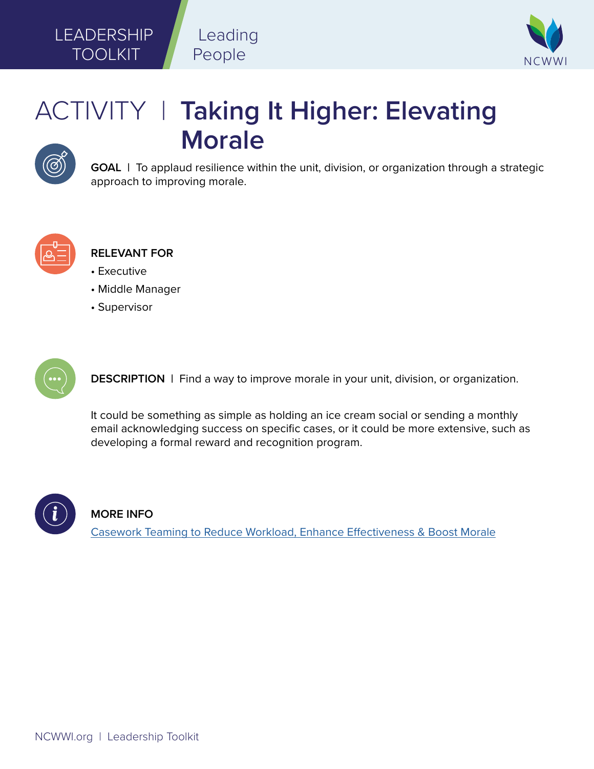

## ACTIVITY | **Taking It Higher: Elevating Morale**



**GOAL** | To applaud resilience within the unit, division, or organization through a strategic approach to improving morale.



**RELEVANT FOR**

• Executive

LEADERSHIP

TOOLKIT

- Middle Manager
- Supervisor



**DESCRIPTION** | Find a way to improve morale in your unit, division, or organization.

It could be something as simple as holding an ice cream social or sending a monthly email acknowledging success on specific cases, or it could be more extensive, such as developing a formal reward and recognition program.



## **MORE INFO**

[Casework Teaming to Reduce Workload, Enhance Effectiveness & Boost Morale](https://ncwwi.org/files/Casework_Teaming_1-pager.pdf)